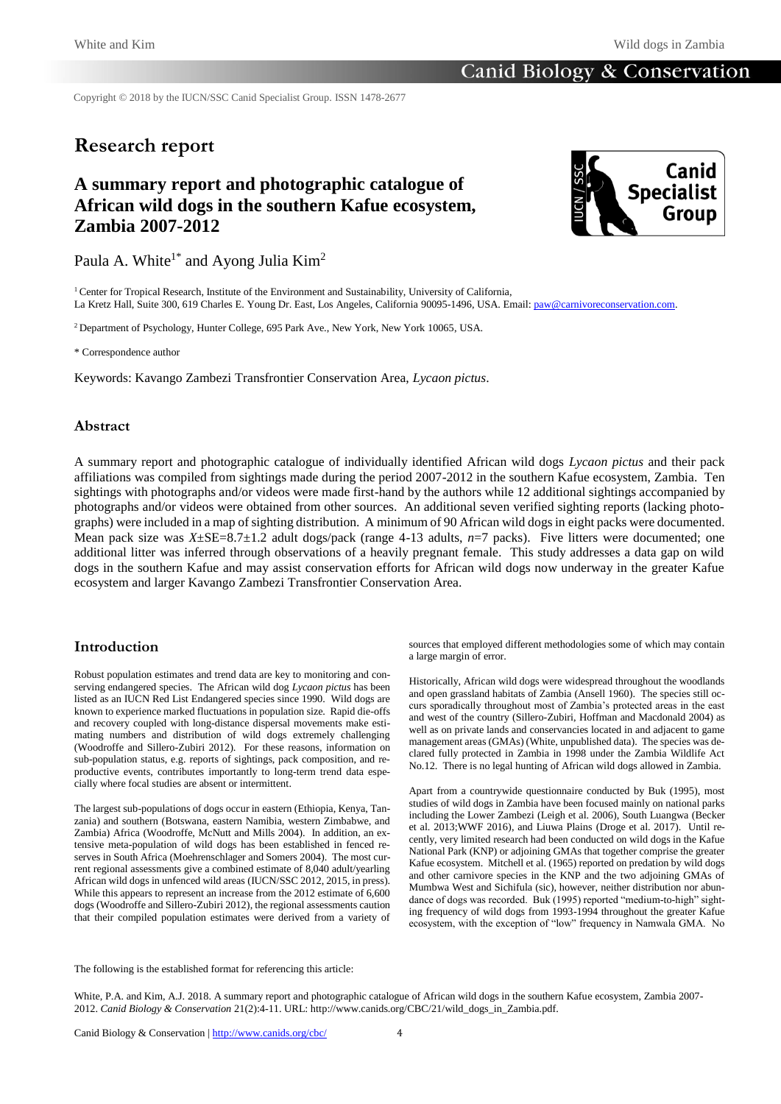Copyright © 2018 by the IUCN/SSC Canid Specialist Group. ISSN 1478-2677

# **Research report**

# **A summary report and photographic catalogue of African wild dogs in the southern Kafue ecosystem, Zambia 2007-2012**



Paula A. White<sup>1\*</sup> and Ayong Julia Kim<sup>2</sup>

<sup>1</sup> Center for Tropical Research, Institute of the Environment and Sustainability, University of California, La Kretz Hall, Suite 300, 619 Charles E. Young Dr. East, Los Angeles, California 90095-1496, USA. Email[: paw@carnivoreconservation.com.](http://paw@carnivoreconservation.com)

<sup>2</sup> Department of Psychology, Hunter College, 695 Park Ave., New York, New York 10065, USA.

\* Correspondence author

Keywords: Kavango Zambezi Transfrontier Conservation Area, *Lycaon pictus*.

## **Abstract**

A summary report and photographic catalogue of individually identified African wild dogs *Lycaon pictus* and their pack affiliations was compiled from sightings made during the period 2007-2012 in the southern Kafue ecosystem, Zambia. Ten sightings with photographs and/or videos were made first-hand by the authors while 12 additional sightings accompanied by photographs and/or videos were obtained from other sources. An additional seven verified sighting reports (lacking photographs) were included in a map of sighting distribution. A minimum of 90 African wild dogs in eight packs were documented. Mean pack size was *X*±SE=8.7±1.2 adult dogs/pack (range 4-13 adults, *n*=7 packs). Five litters were documented; one additional litter was inferred through observations of a heavily pregnant female. This study addresses a data gap on wild dogs in the southern Kafue and may assist conservation efforts for African wild dogs now underway in the greater Kafue ecosystem and larger Kavango Zambezi Transfrontier Conservation Area.

## **Introduction**

Robust population estimates and trend data are key to monitoring and conserving endangered species. The African wild dog *Lycaon pictus* has been listed as an IUCN Red List Endangered species since 1990. Wild dogs are known to experience marked fluctuations in population size. Rapid die-offs and recovery coupled with long-distance dispersal movements make estimating numbers and distribution of wild dogs extremely challenging (Woodroffe and Sillero-Zubiri 2012). For these reasons, information on sub-population status, e.g. reports of sightings, pack composition, and reproductive events, contributes importantly to long-term trend data especially where focal studies are absent or intermittent.

The largest sub-populations of dogs occur in eastern (Ethiopia, Kenya, Tanzania) and southern (Botswana, eastern Namibia, western Zimbabwe, and Zambia) Africa (Woodroffe, McNutt and Mills 2004). In addition, an extensive meta-population of wild dogs has been established in fenced reserves in South Africa (Moehrenschlager and Somers 2004). The most current regional assessments give a combined estimate of 8,040 adult/yearling African wild dogs in unfenced wild areas (IUCN/SSC 2012, 2015, in press). While this appears to represent an increase from the 2012 estimate of 6,600 dogs (Woodroffe and Sillero-Zubiri 2012), the regional assessments caution that their compiled population estimates were derived from a variety of sources that employed different methodologies some of which may contain a large margin of error.

Historically, African wild dogs were widespread throughout the woodlands and open grassland habitats of Zambia (Ansell 1960). The species still occurs sporadically throughout most of Zambia's protected areas in the east and west of the country (Sillero-Zubiri, Hoffman and Macdonald 2004) as well as on private lands and conservancies located in and adjacent to game management areas (GMAs) (White, unpublished data). The species was declared fully protected in Zambia in 1998 under the Zambia Wildlife Act No.12. There is no legal hunting of African wild dogs allowed in Zambia.

Apart from a countrywide questionnaire conducted by Buk (1995), most studies of wild dogs in Zambia have been focused mainly on national parks including the Lower Zambezi (Leigh et al. 2006), South Luangwa (Becker et al. 2013;WWF 2016), and Liuwa Plains (Droge et al. 2017). Until recently, very limited research had been conducted on wild dogs in the Kafue National Park (KNP) or adjoining GMAs that together comprise the greater Kafue ecosystem. Mitchell et al. (1965) reported on predation by wild dogs and other carnivore species in the KNP and the two adjoining GMAs of Mumbwa West and Sichifula (sic), however, neither distribution nor abundance of dogs was recorded. Buk (1995) reported "medium-to-high" sighting frequency of wild dogs from 1993-1994 throughout the greater Kafue ecosystem, with the exception of "low" frequency in Namwala GMA. No

The following is the established format for referencing this article:

White, P.A. and Kim, A.J. 2018. A summary report and photographic catalogue of African wild dogs in the southern Kafue ecosystem, Zambia 2007- 2012. *Canid Biology & Conservation* 21(2):4-11. URL: http://www.canids.org/CBC/21/wild\_dogs\_in\_Zambia.pdf.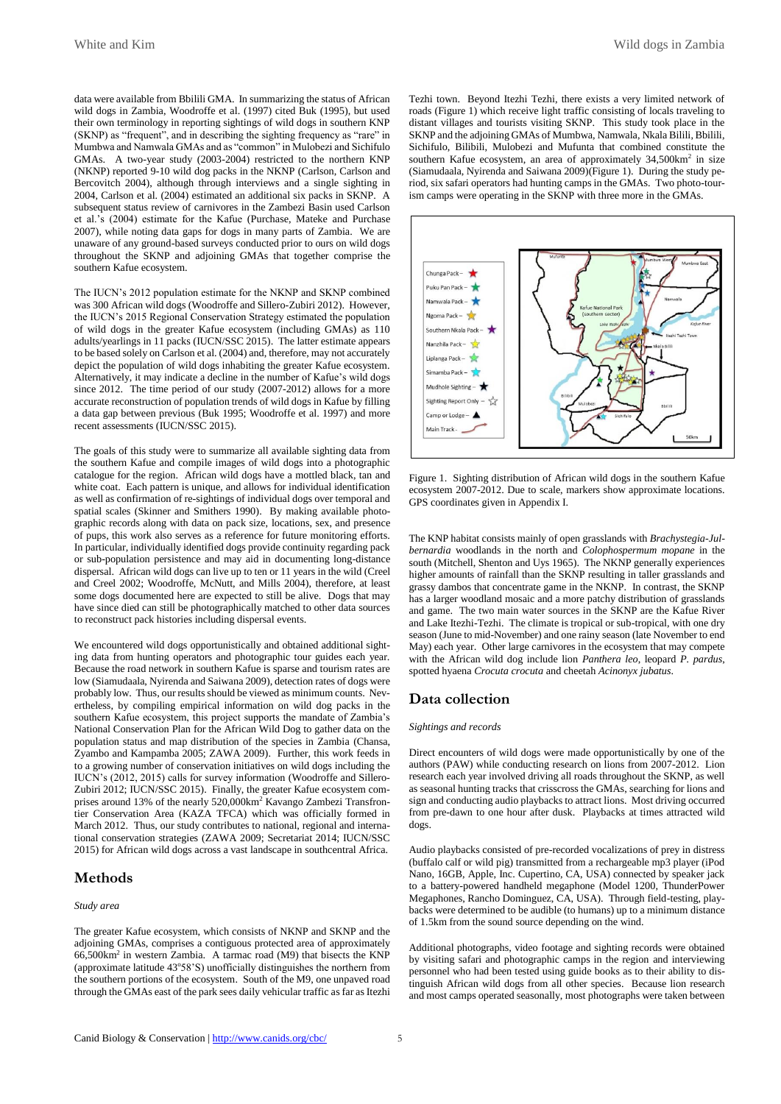data were available from Bbilili GMA. In summarizing the status of African wild dogs in Zambia, Woodroffe et al. (1997) cited Buk (1995), but used their own terminology in reporting sightings of wild dogs in southern KNP (SKNP) as "frequent", and in describing the sighting frequency as "rare" in Mumbwa and Namwala GMAs and as "common" in Mulobezi and Sichifulo GMAs. A two-year study (2003-2004) restricted to the northern KNP (NKNP) reported 9-10 wild dog packs in the NKNP (Carlson, Carlson and Bercovitch 2004), although through interviews and a single sighting in 2004, Carlson et al. (2004) estimated an additional six packs in SKNP. A subsequent status review of carnivores in the Zambezi Basin used Carlson et al.'s (2004) estimate for the Kafue (Purchase, Mateke and Purchase 2007), while noting data gaps for dogs in many parts of Zambia. We are unaware of any ground-based surveys conducted prior to ours on wild dogs throughout the SKNP and adjoining GMAs that together comprise the southern Kafue ecosystem.

The IUCN's 2012 population estimate for the NKNP and SKNP combined was 300 African wild dogs (Woodroffe and Sillero-Zubiri 2012). However, the IUCN's 2015 Regional Conservation Strategy estimated the population of wild dogs in the greater Kafue ecosystem (including GMAs) as 110 adults/yearlings in 11 packs (IUCN/SSC 2015). The latter estimate appears to be based solely on Carlson et al. (2004) and, therefore, may not accurately depict the population of wild dogs inhabiting the greater Kafue ecosystem. Alternatively, it may indicate a decline in the number of Kafue's wild dogs since 2012. The time period of our study (2007-2012) allows for a more accurate reconstruction of population trends of wild dogs in Kafue by filling a data gap between previous (Buk 1995; Woodroffe et al. 1997) and more recent assessments (IUCN/SSC 2015).

The goals of this study were to summarize all available sighting data from the southern Kafue and compile images of wild dogs into a photographic catalogue for the region. African wild dogs have a mottled black, tan and white coat. Each pattern is unique, and allows for individual identification as well as confirmation of re-sightings of individual dogs over temporal and spatial scales (Skinner and Smithers 1990). By making available photographic records along with data on pack size, locations, sex, and presence of pups, this work also serves as a reference for future monitoring efforts. In particular, individually identified dogs provide continuity regarding pack or sub-population persistence and may aid in documenting long-distance dispersal. African wild dogs can live up to ten or 11 years in the wild (Creel and Creel 2002; Woodroffe, McNutt, and Mills 2004), therefore, at least some dogs documented here are expected to still be alive. Dogs that may have since died can still be photographically matched to other data sources to reconstruct pack histories including dispersal events.

We encountered wild dogs opportunistically and obtained additional sighting data from hunting operators and photographic tour guides each year. Because the road network in southern Kafue is sparse and tourism rates are low (Siamudaala, Nyirenda and Saiwana 2009), detection rates of dogs were probably low. Thus, our results should be viewed as minimum counts. Nevertheless, by compiling empirical information on wild dog packs in the southern Kafue ecosystem, this project supports the mandate of Zambia's National Conservation Plan for the African Wild Dog to gather data on the population status and map distribution of the species in Zambia (Chansa, Zyambo and Kampamba 2005; ZAWA 2009). Further, this work feeds in to a growing number of conservation initiatives on wild dogs including the IUCN's (2012, 2015) calls for survey information (Woodroffe and Sillero-Zubiri 2012; IUCN/SSC 2015). Finally, the greater Kafue ecosystem comprises around 13% of the nearly 520,000km<sup>2</sup> Kavango Zambezi Transfrontier Conservation Area (KAZA TFCA) which was officially formed in March 2012. Thus, our study contributes to national, regional and international conservation strategies (ZAWA 2009; Secretariat 2014; IUCN/SSC 2015) for African wild dogs across a vast landscape in southcentral Africa.

## **Methods**

## *Study area*

The greater Kafue ecosystem, which consists of NKNP and SKNP and the adjoining GMAs, comprises a contiguous protected area of approximately 66,500km<sup>2</sup> in western Zambia. A tarmac road (M9) that bisects the KNP (approximate latitude 43°58'S) unofficially distinguishes the northern from the southern portions of the ecosystem. South of the M9, one unpaved road through the GMAs east of the park sees daily vehicular traffic as far as Itezhi

Tezhi town. Beyond Itezhi Tezhi, there exists a very limited network of roads (Figure 1) which receive light traffic consisting of locals traveling to distant villages and tourists visiting SKNP. This study took place in the SKNP and the adjoining GMAs of Mumbwa, Namwala, Nkala Bilili, Bbilili, Sichifulo, Bilibili, Mulobezi and Mufunta that combined constitute the southern Kafue ecosystem, an area of approximately 34,500km<sup>2</sup> in size (Siamudaala, Nyirenda and Saiwana 2009)(Figure 1). During the study period, six safari operators had hunting camps in the GMAs. Two photo-tourism camps were operating in the SKNP with three more in the GMAs.



Figure 1. Sighting distribution of African wild dogs in the southern Kafue ecosystem 2007-2012. Due to scale, markers show approximate locations. GPS coordinates given in Appendix I.

The KNP habitat consists mainly of open grasslands with *Brachystegia-Julbernardia* woodlands in the north and *Colophospermum mopane* in the south (Mitchell, Shenton and Uys 1965). The NKNP generally experiences higher amounts of rainfall than the SKNP resulting in taller grasslands and grassy dambos that concentrate game in the NKNP. In contrast, the SKNP has a larger woodland mosaic and a more patchy distribution of grasslands and game. The two main water sources in the SKNP are the Kafue River and Lake Itezhi-Tezhi. The climate is tropical or sub-tropical, with one dry season (June to mid-November) and one rainy season (late November to end May) each year. Other large carnivores in the ecosystem that may compete with the African wild dog include lion *Panthera leo*, leopard *P. pardus*, spotted hyaena *Crocuta crocuta* and cheetah *Acinonyx jubatus*.

## **Data collection**

### *Sightings and records*

Direct encounters of wild dogs were made opportunistically by one of the authors (PAW) while conducting research on lions from 2007-2012. Lion research each year involved driving all roads throughout the SKNP, as well as seasonal hunting tracks that crisscross the GMAs, searching for lions and sign and conducting audio playbacks to attract lions. Most driving occurred from pre-dawn to one hour after dusk. Playbacks at times attracted wild dogs.

Audio playbacks consisted of pre-recorded vocalizations of prey in distress (buffalo calf or wild pig) transmitted from a rechargeable mp3 player (iPod Nano, 16GB, Apple, Inc. Cupertino, CA, USA) connected by speaker jack to a battery-powered handheld megaphone (Model 1200, ThunderPower Megaphones, Rancho Dominguez, CA, USA). Through field-testing, playbacks were determined to be audible (to humans) up to a minimum distance of 1.5km from the sound source depending on the wind.

Additional photographs, video footage and sighting records were obtained by visiting safari and photographic camps in the region and interviewing personnel who had been tested using guide books as to their ability to distinguish African wild dogs from all other species. Because lion research and most camps operated seasonally, most photographs were taken between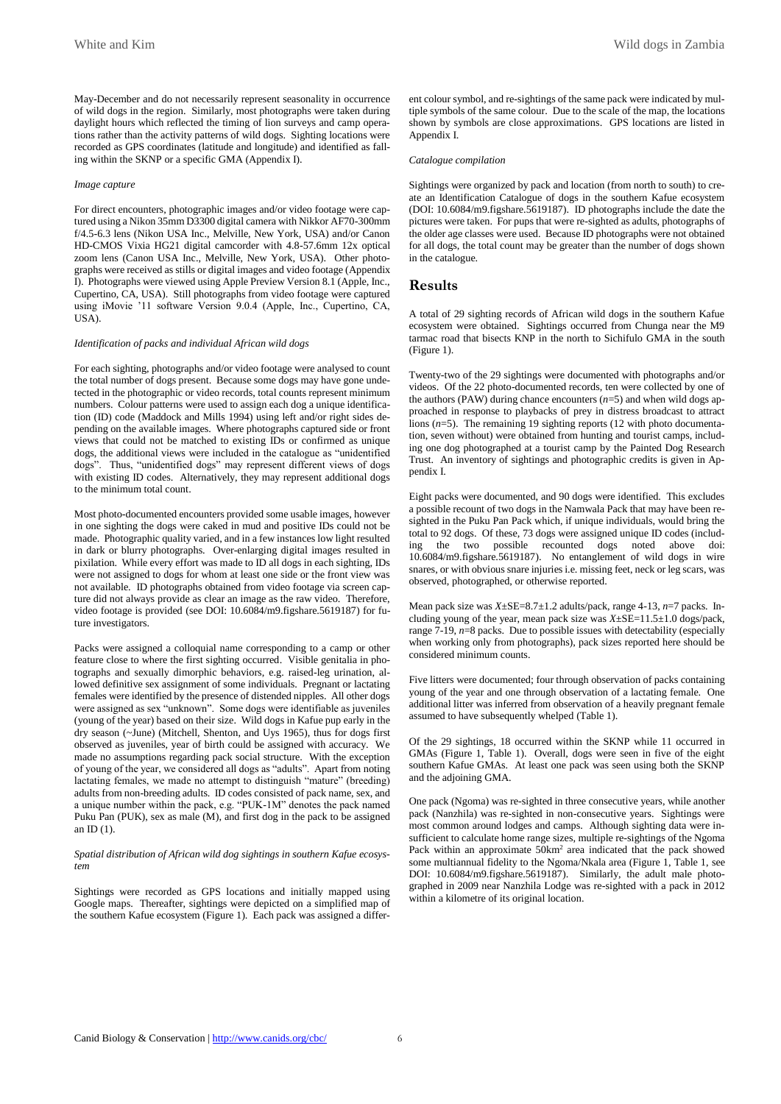May-December and do not necessarily represent seasonality in occurrence of wild dogs in the region. Similarly, most photographs were taken during daylight hours which reflected the timing of lion surveys and camp operations rather than the activity patterns of wild dogs. Sighting locations were recorded as GPS coordinates (latitude and longitude) and identified as falling within the SKNP or a specific GMA (Appendix I).

#### *Image capture*

For direct encounters, photographic images and/or video footage were captured using a Nikon 35mm D3300 digital camera with Nikkor AF70-300mm f/4.5-6.3 lens (Nikon USA Inc., Melville, New York, USA) and/or Canon HD-CMOS Vixia HG21 digital camcorder with 4.8-57.6mm 12x optical zoom lens (Canon USA Inc., Melville, New York, USA). Other photographs were received as stills or digital images and video footage (Appendix I). Photographs were viewed using Apple Preview Version 8.1 (Apple, Inc., Cupertino, CA, USA). Still photographs from video footage were captured using iMovie '11 software Version 9.0.4 (Apple, Inc., Cupertino, CA, USA).

#### *Identification of packs and individual African wild dogs*

For each sighting, photographs and/or video footage were analysed to count the total number of dogs present. Because some dogs may have gone undetected in the photographic or video records, total counts represent minimum numbers. Colour patterns were used to assign each dog a unique identification (ID) code (Maddock and Mills 1994) using left and/or right sides depending on the available images. Where photographs captured side or front views that could not be matched to existing IDs or confirmed as unique dogs, the additional views were included in the catalogue as "unidentified dogs". Thus, "unidentified dogs" may represent different views of dogs with existing ID codes. Alternatively, they may represent additional dogs to the minimum total count.

Most photo-documented encounters provided some usable images, however in one sighting the dogs were caked in mud and positive IDs could not be made. Photographic quality varied, and in a few instances low light resulted in dark or blurry photographs. Over-enlarging digital images resulted in pixilation. While every effort was made to ID all dogs in each sighting, IDs were not assigned to dogs for whom at least one side or the front view was not available. ID photographs obtained from video footage via screen capture did not always provide as clear an image as the raw video. Therefore, video footage is provided (see DOI: 10.6084/m9.figshare.5619187) for future investigators.

Packs were assigned a colloquial name corresponding to a camp or other feature close to where the first sighting occurred. Visible genitalia in photographs and sexually dimorphic behaviors, e.g. raised-leg urination, allowed definitive sex assignment of some individuals. Pregnant or lactating females were identified by the presence of distended nipples. All other dogs were assigned as sex "unknown". Some dogs were identifiable as juveniles (young of the year) based on their size. Wild dogs in Kafue pup early in the dry season (~June) (Mitchell, Shenton, and Uys 1965), thus for dogs first observed as juveniles, year of birth could be assigned with accuracy. We made no assumptions regarding pack social structure. With the exception of young of the year, we considered all dogs as "adults". Apart from noting lactating females, we made no attempt to distinguish "mature" (breeding) adults from non-breeding adults. ID codes consisted of pack name, sex, and a unique number within the pack, e.g. "PUK-1M" denotes the pack named Puku Pan (PUK), sex as male (M), and first dog in the pack to be assigned an  $ID(1)$ .

### *Spatial distribution of African wild dog sightings in southern Kafue ecosystem*

Sightings were recorded as GPS locations and initially mapped using Google maps. Thereafter, sightings were depicted on a simplified map of the southern Kafue ecosystem (Figure 1). Each pack was assigned a different colour symbol, and re-sightings of the same pack were indicated by multiple symbols of the same colour. Due to the scale of the map, the locations shown by symbols are close approximations. GPS locations are listed in Appendix I.

#### *Catalogue compilation*

Sightings were organized by pack and location (from north to south) to create an Identification Catalogue of dogs in the southern Kafue ecosystem (DOI: 10.6084/m9.figshare.5619187). ID photographs include the date the pictures were taken. For pups that were re-sighted as adults, photographs of the older age classes were used. Because ID photographs were not obtained for all dogs, the total count may be greater than the number of dogs shown in the catalogue.

## **Results**

A total of 29 sighting records of African wild dogs in the southern Kafue ecosystem were obtained. Sightings occurred from Chunga near the M9 tarmac road that bisects KNP in the north to Sichifulo GMA in the south (Figure 1).

Twenty-two of the 29 sightings were documented with photographs and/or videos. Of the 22 photo-documented records, ten were collected by one of the authors (PAW) during chance encounters (*n*=5) and when wild dogs approached in response to playbacks of prey in distress broadcast to attract lions (*n*=5). The remaining 19 sighting reports (12 with photo documentation, seven without) were obtained from hunting and tourist camps, including one dog photographed at a tourist camp by the Painted Dog Research Trust. An inventory of sightings and photographic credits is given in Appendix I.

Eight packs were documented, and 90 dogs were identified. This excludes a possible recount of two dogs in the Namwala Pack that may have been resighted in the Puku Pan Pack which, if unique individuals, would bring the total to 92 dogs. Of these, 73 dogs were assigned unique ID codes (including the two possible recounted dogs noted above doi: 10.6084/m9.figshare.5619187). No entanglement of wild dogs in wire snares, or with obvious snare injuries i.e. missing feet, neck or leg scars, was observed, photographed, or otherwise reported.

Mean pack size was *X*±SE=8.7±1.2 adults/pack, range 4-13, *n*=7 packs. Including young of the year, mean pack size was *X*±SE=11.5±1.0 dogs/pack, range 7-19, *n*=8 packs. Due to possible issues with detectability (especially when working only from photographs), pack sizes reported here should be considered minimum counts.

Five litters were documented; four through observation of packs containing young of the year and one through observation of a lactating female. One additional litter was inferred from observation of a heavily pregnant female assumed to have subsequently whelped (Table 1).

Of the 29 sightings, 18 occurred within the SKNP while 11 occurred in GMAs (Figure 1, Table 1). Overall, dogs were seen in five of the eight southern Kafue GMAs. At least one pack was seen using both the SKNP and the adjoining GMA.

One pack (Ngoma) was re-sighted in three consecutive years, while another pack (Nanzhila) was re-sighted in non-consecutive years. Sightings were most common around lodges and camps. Although sighting data were insufficient to calculate home range sizes, multiple re-sightings of the Ngoma Pack within an approximate 50km<sup>2</sup> area indicated that the pack showed some multiannual fidelity to the Ngoma/Nkala area (Figure 1, Table 1, see DOI: 10.6084/m9.figshare.5619187). Similarly, the adult male photographed in 2009 near Nanzhila Lodge was re-sighted with a pack in 2012 within a kilometre of its original location.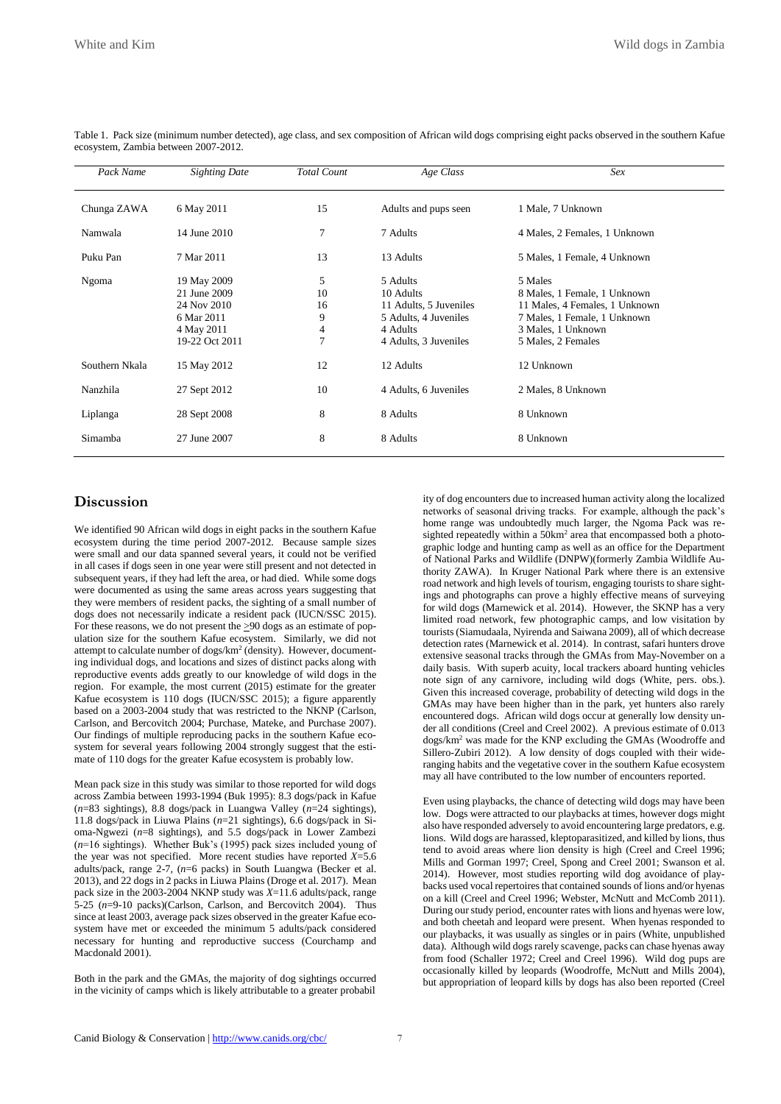| Pack Name      | <b>Sighting Date</b> | <b>Total Count</b> | Age Class              | Sex                            |
|----------------|----------------------|--------------------|------------------------|--------------------------------|
| Chunga ZAWA    | 6 May 2011           | 15                 | Adults and pups seen   | 1 Male, 7 Unknown              |
| Namwala        | 14 June 2010         | 7                  | 7 Adults               | 4 Males, 2 Females, 1 Unknown  |
| Puku Pan       | 7 Mar 2011           | 13                 | 13 Adults              | 5 Males, 1 Female, 4 Unknown   |
| Ngoma          | 19 May 2009          | 5                  | 5 Adults               | 5 Males                        |
|                | 21 June 2009         | 10                 | 10 Adults              | 8 Males, 1 Female, 1 Unknown   |
|                | 24 Nov 2010          | 16                 | 11 Adults, 5 Juveniles | 11 Males, 4 Females, 1 Unknown |
|                | 6 Mar 2011           | 9                  | 5 Adults, 4 Juveniles  | 7 Males, 1 Female, 1 Unknown   |
|                | 4 May 2011           | 4                  | 4 Adults               | 3 Males, 1 Unknown             |
|                | 19-22 Oct 2011       | $\overline{7}$     | 4 Adults, 3 Juveniles  | 5 Males, 2 Females             |
| Southern Nkala | 15 May 2012          | 12                 | 12 Adults              | 12 Unknown                     |
| Nanzhila       | 27 Sept 2012         | 10                 | 4 Adults, 6 Juveniles  | 2 Males, 8 Unknown             |
| Liplanga       | 28 Sept 2008         | 8                  | 8 Adults               | 8 Unknown                      |
| Simamba        | 27 June 2007         | 8                  | 8 Adults               | 8 Unknown                      |

Table 1. Pack size (minimum number detected), age class, and sex composition of African wild dogs comprising eight packs observed in the southern Kafue ecosystem, Zambia between 2007-2012.

## **Discussion**

We identified 90 African wild dogs in eight packs in the southern Kafue ecosystem during the time period 2007-2012. Because sample sizes were small and our data spanned several years, it could not be verified in all cases if dogs seen in one year were still present and not detected in subsequent years, if they had left the area, or had died. While some dogs were documented as using the same areas across years suggesting that they were members of resident packs, the sighting of a small number of dogs does not necessarily indicate a resident pack (IUCN/SSC 2015). For these reasons, we do not present the >90 dogs as an estimate of population size for the southern Kafue ecosystem. Similarly, we did not attempt to calculate number of dogs/km<sup>2</sup> (density). However, documenting individual dogs, and locations and sizes of distinct packs along with reproductive events adds greatly to our knowledge of wild dogs in the region. For example, the most current (2015) estimate for the greater Kafue ecosystem is 110 dogs (IUCN/SSC 2015); a figure apparently based on a 2003-2004 study that was restricted to the NKNP (Carlson, Carlson, and Bercovitch 2004; Purchase, Mateke, and Purchase 2007). Our findings of multiple reproducing packs in the southern Kafue ecosystem for several years following 2004 strongly suggest that the estimate of 110 dogs for the greater Kafue ecosystem is probably low.

Mean pack size in this study was similar to those reported for wild dogs across Zambia between 1993-1994 (Buk 1995): 8.3 dogs/pack in Kafue (*n*=83 sightings), 8.8 dogs/pack in Luangwa Valley (*n*=24 sightings), 11.8 dogs/pack in Liuwa Plains (*n*=21 sightings), 6.6 dogs/pack in Sioma-Ngwezi (*n*=8 sightings), and 5.5 dogs/pack in Lower Zambezi (*n*=16 sightings). Whether Buk's (1995) pack sizes included young of the year was not specified. More recent studies have reported *X*=5.6 adults/pack, range 2-7, (*n*=6 packs) in South Luangwa (Becker et al. 2013), and 22 dogs in 2 packs in Liuwa Plains (Droge et al. 2017). Mean pack size in the 2003-2004 NKNP study was *X*=11.6 adults/pack, range 5-25 (*n*=9-10 packs)(Carlson, Carlson, and Bercovitch 2004). Thus since at least 2003, average pack sizes observed in the greater Kafue ecosystem have met or exceeded the minimum 5 adults/pack considered necessary for hunting and reproductive success (Courchamp and Macdonald 2001).

Both in the park and the GMAs, the majority of dog sightings occurred in the vicinity of camps which is likely attributable to a greater probabil

ity of dog encounters due to increased human activity along the localized networks of seasonal driving tracks. For example, although the pack's home range was undoubtedly much larger, the Ngoma Pack was resighted repeatedly within a 50km<sup>2</sup> area that encompassed both a photographic lodge and hunting camp as well as an office for the Department of National Parks and Wildlife (DNPW)(formerly Zambia Wildlife Authority ZAWA). In Kruger National Park where there is an extensive road network and high levels of tourism, engaging tourists to share sightings and photographs can prove a highly effective means of surveying for wild dogs (Marnewick et al. 2014). However, the SKNP has a very limited road network, few photographic camps, and low visitation by tourists (Siamudaala, Nyirenda and Saiwana 2009), all of which decrease detection rates (Marnewick et al. 2014). In contrast, safari hunters drove extensive seasonal tracks through the GMAs from May-November on a daily basis. With superb acuity, local trackers aboard hunting vehicles note sign of any carnivore, including wild dogs (White, pers. obs.). Given this increased coverage, probability of detecting wild dogs in the GMAs may have been higher than in the park, yet hunters also rarely encountered dogs. African wild dogs occur at generally low density under all conditions (Creel and Creel 2002). A previous estimate of 0.013 dogs/km<sup>2</sup> was made for the KNP excluding the GMAs (Woodroffe and Sillero-Zubiri 2012). A low density of dogs coupled with their wideranging habits and the vegetative cover in the southern Kafue ecosystem may all have contributed to the low number of encounters reported.

Even using playbacks, the chance of detecting wild dogs may have been low. Dogs were attracted to our playbacks at times, however dogs might also have responded adversely to avoid encountering large predators, e.g. lions. Wild dogs are harassed, kleptoparasitized, and killed by lions, thus tend to avoid areas where lion density is high (Creel and Creel 1996; Mills and Gorman 1997; Creel, Spong and Creel 2001; Swanson et al. 2014). However, most studies reporting wild dog avoidance of playbacks used vocal repertoires that contained sounds of lions and/or hyenas on a kill (Creel and Creel 1996; Webster, McNutt and McComb 2011). During our study period, encounter rates with lions and hyenas were low, and both cheetah and leopard were present. When hyenas responded to our playbacks, it was usually as singles or in pairs (White, unpublished data). Although wild dogs rarely scavenge, packs can chase hyenas away from food (Schaller 1972; Creel and Creel 1996). Wild dog pups are occasionally killed by leopards (Woodroffe, McNutt and Mills 2004), but appropriation of leopard kills by dogs has also been reported (Creel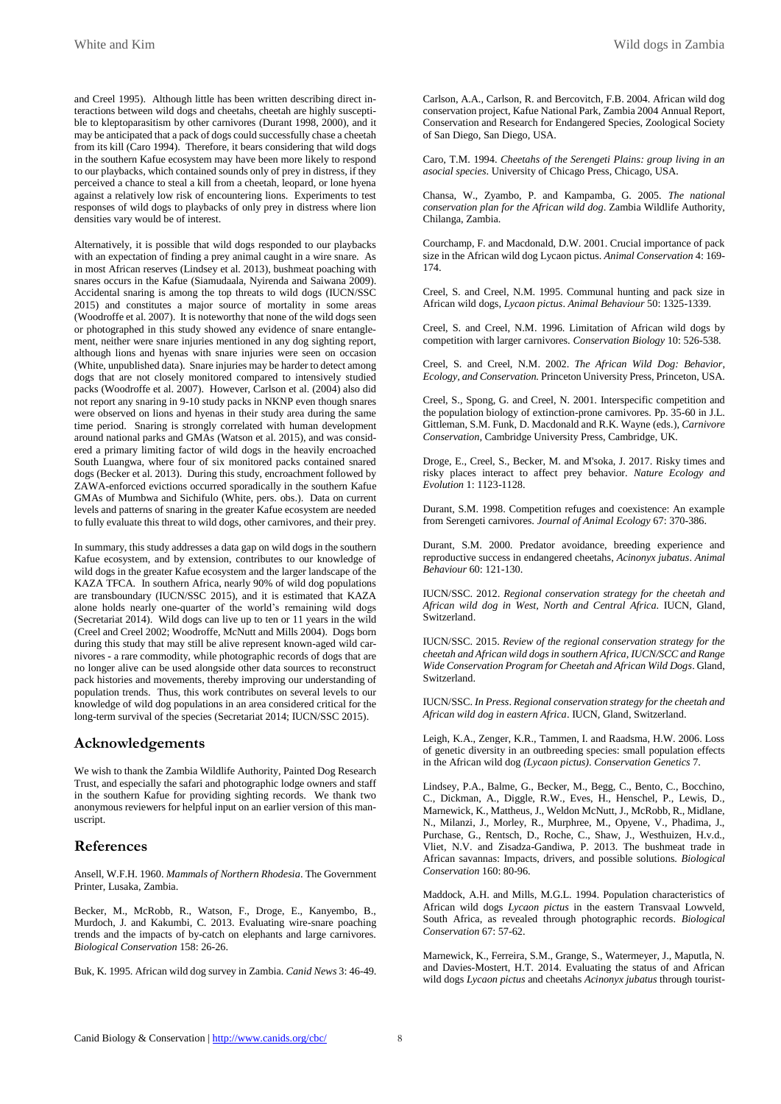and Creel 1995). Although little has been written describing direct interactions between wild dogs and cheetahs, cheetah are highly susceptible to kleptoparasitism by other carnivores (Durant 1998, 2000), and it may be anticipated that a pack of dogs could successfully chase a cheetah from its kill (Caro 1994). Therefore, it bears considering that wild dogs in the southern Kafue ecosystem may have been more likely to respond to our playbacks, which contained sounds only of prey in distress, if they perceived a chance to steal a kill from a cheetah, leopard, or lone hyena against a relatively low risk of encountering lions. Experiments to test responses of wild dogs to playbacks of only prey in distress where lion densities vary would be of interest.

Alternatively, it is possible that wild dogs responded to our playbacks with an expectation of finding a prey animal caught in a wire snare. As in most African reserves (Lindsey et al. 2013), bushmeat poaching with snares occurs in the Kafue (Siamudaala, Nyirenda and Saiwana 2009). Accidental snaring is among the top threats to wild dogs (IUCN/SSC 2015) and constitutes a major source of mortality in some areas (Woodroffe et al. 2007). It is noteworthy that none of the wild dogs seen or photographed in this study showed any evidence of snare entanglement, neither were snare injuries mentioned in any dog sighting report, although lions and hyenas with snare injuries were seen on occasion (White, unpublished data). Snare injuries may be harder to detect among dogs that are not closely monitored compared to intensively studied packs (Woodroffe et al. 2007). However, Carlson et al. (2004) also did not report any snaring in 9-10 study packs in NKNP even though snares were observed on lions and hyenas in their study area during the same time period. Snaring is strongly correlated with human development around national parks and GMAs (Watson et al. 2015), and was considered a primary limiting factor of wild dogs in the heavily encroached South Luangwa, where four of six monitored packs contained snared dogs (Becker et al. 2013). During this study, encroachment followed by ZAWA-enforced evictions occurred sporadically in the southern Kafue GMAs of Mumbwa and Sichifulo (White, pers. obs.). Data on current levels and patterns of snaring in the greater Kafue ecosystem are needed to fully evaluate this threat to wild dogs, other carnivores, and their prey.

In summary, this study addresses a data gap on wild dogs in the southern Kafue ecosystem, and by extension, contributes to our knowledge of wild dogs in the greater Kafue ecosystem and the larger landscape of the KAZA TFCA. In southern Africa, nearly 90% of wild dog populations are transboundary (IUCN/SSC 2015), and it is estimated that KAZA alone holds nearly one-quarter of the world's remaining wild dogs (Secretariat 2014). Wild dogs can live up to ten or 11 years in the wild (Creel and Creel 2002; Woodroffe, McNutt and Mills 2004). Dogs born during this study that may still be alive represent known-aged wild carnivores - a rare commodity, while photographic records of dogs that are no longer alive can be used alongside other data sources to reconstruct pack histories and movements, thereby improving our understanding of population trends. Thus, this work contributes on several levels to our knowledge of wild dog populations in an area considered critical for the long-term survival of the species (Secretariat 2014; IUCN/SSC 2015).

## **Acknowledgements**

We wish to thank the Zambia Wildlife Authority, Painted Dog Research Trust, and especially the safari and photographic lodge owners and staff in the southern Kafue for providing sighting records. We thank two anonymous reviewers for helpful input on an earlier version of this manuscript.

## **References**

Ansell, W.F.H. 1960. *Mammals of Northern Rhodesia*. The Government Printer, Lusaka, Zambia.

Becker, M., McRobb, R., Watson, F., Droge, E., Kanyembo, B., Murdoch, J. and Kakumbi, C. 2013. Evaluating wire-snare poaching trends and the impacts of by-catch on elephants and large carnivores. *Biological Conservation* 158: 26-26.

Buk, K. 1995. African wild dog survey in Zambia. *Canid News* 3: 46-49.

Carlson, A.A., Carlson, R. and Bercovitch, F.B. 2004. African wild dog conservation project, Kafue National Park, Zambia 2004 Annual Report, Conservation and Research for Endangered Species, Zoological Society of San Diego, San Diego, USA.

Caro, T.M. 1994. *Cheetahs of the Serengeti Plains: group living in an asocial species*. University of Chicago Press, Chicago, USA.

Chansa, W., Zyambo, P. and Kampamba, G. 2005. *The national conservation plan for the African wild dog*. Zambia Wildlife Authority, Chilanga, Zambia.

Courchamp, F. and Macdonald, D.W. 2001. Crucial importance of pack size in the African wild dog Lycaon pictus. *Animal Conservation* 4: 169- 174.

Creel, S. and Creel, N.M. 1995. Communal hunting and pack size in African wild dogs, *Lycaon pictus*. *Animal Behaviour* 50: 1325-1339.

Creel, S. and Creel, N.M. 1996. Limitation of African wild dogs by competition with larger carnivores. *Conservation Biology* 10: 526-538.

Creel, S. and Creel, N.M. 2002. *The African Wild Dog: Behavior, Ecology, and Conservation.* Princeton University Press, Princeton, USA.

Creel, S., Spong, G. and Creel, N. 2001. Interspecific competition and the population biology of extinction-prone carnivores. Pp. 35-60 in J.L. Gittleman, S.M. Funk, D. Macdonald and R.K. Wayne (eds.), *Carnivore Conservation,* Cambridge University Press, Cambridge, UK.

Droge, E., Creel, S., Becker, M. and M'soka, J. 2017. Risky times and risky places interact to affect prey behavior. *Nature Ecology and Evolution* 1: 1123-1128.

Durant, S.M. 1998. Competition refuges and coexistence: An example from Serengeti carnivores. *Journal of Animal Ecology* 67: 370-386.

Durant, S.M. 2000. Predator avoidance, breeding experience and reproductive success in endangered cheetahs, *Acinonyx jubatus*. *Animal Behaviour* 60: 121-130.

IUCN/SSC. 2012. *Regional conservation strategy for the cheetah and African wild dog in West, North and Central Africa*. IUCN, Gland, Switzerland.

IUCN/SSC. 2015. *Review of the regional conservation strategy for the cheetah and African wild dogs in southern Africa, IUCN/SCC and Range Wide Conservation Program for Cheetah and African Wild Dogs*. Gland, Switzerland.

IUCN/SSC. *In Press*. *Regional conservation strategy for the cheetah and African wild dog in eastern Africa*. IUCN, Gland, Switzerland.

Leigh, K.A., Zenger, K.R., Tammen, I. and Raadsma, H.W. 2006. Loss of genetic diversity in an outbreeding species: small population effects in the African wild dog *(Lycaon pictus)*. *Conservation Genetics* 7.

Lindsey, P.A., Balme, G., Becker, M., Begg, C., Bento, C., Bocchino, C., Dickman, A., Diggle, R.W., Eves, H., Henschel, P., Lewis, D., Marnewick, K., Mattheus, J., Weldon McNutt, J., McRobb, R., Midlane, N., Milanzi, J., Morley, R., Murphree, M., Opyene, V., Phadima, J., Purchase, G., Rentsch, D., Roche, C., Shaw, J., Westhuizen, H.v.d., Vliet, N.V. and Zisadza-Gandiwa, P. 2013. The bushmeat trade in African savannas: Impacts, drivers, and possible solutions. *Biological Conservation* 160: 80-96.

Maddock, A.H. and Mills, M.G.L. 1994. Population characteristics of African wild dogs *Lycaon pictus* in the eastern Transvaal Lowveld, South Africa, as revealed through photographic records. *Biological Conservation* 67: 57-62.

Marnewick, K., Ferreira, S.M., Grange, S., Watermeyer, J., Maputla, N. and Davies-Mostert, H.T. 2014. Evaluating the status of and African wild dogs *Lycaon pictus* and cheetahs *Acinonyx jubatus* through tourist-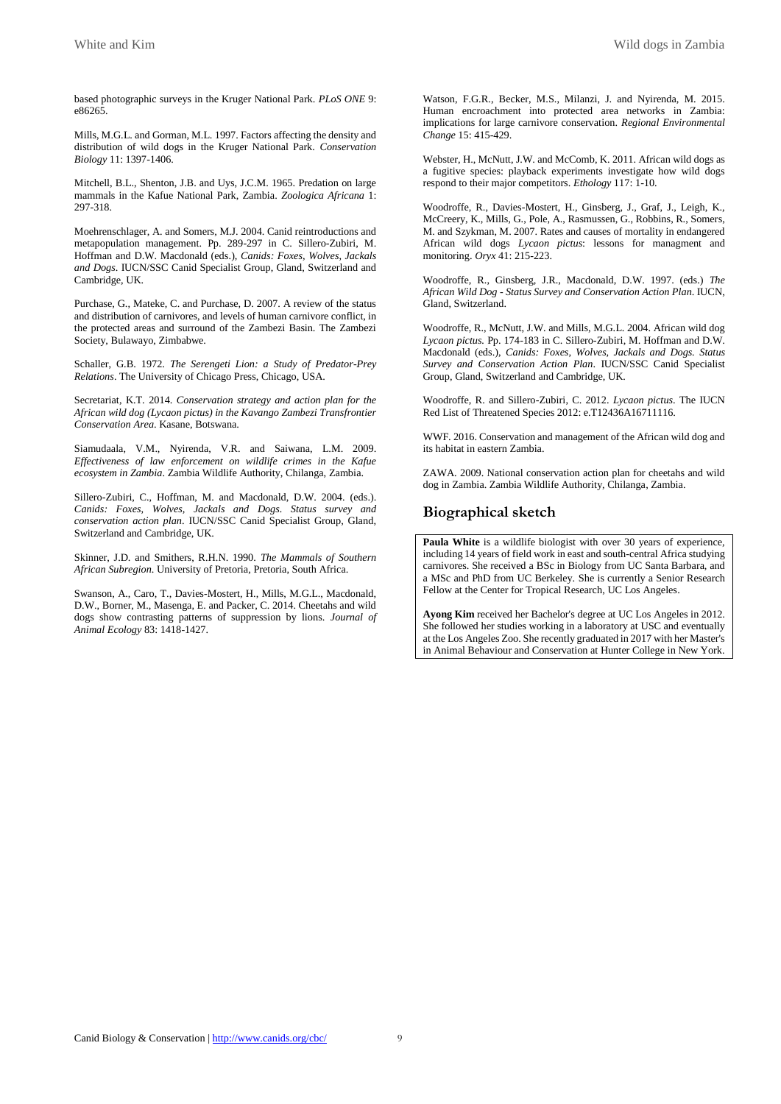based photographic surveys in the Kruger National Park. *PLoS ONE* 9: e86265.

Mills, M.G.L. and Gorman, M.L. 1997. Factors affecting the density and distribution of wild dogs in the Kruger National Park. *Conservation Biology* 11: 1397-1406.

Mitchell, B.L., Shenton, J.B. and Uys, J.C.M. 1965. Predation on large mammals in the Kafue National Park, Zambia. *Zoologica Africana* 1: 297-318.

Moehrenschlager, A. and Somers, M.J. 2004. Canid reintroductions and metapopulation management. Pp. 289-297 in C. Sillero-Zubiri, M. Hoffman and D.W. Macdonald (eds.), *Canids: Foxes, Wolves, Jackals and Dogs*. IUCN/SSC Canid Specialist Group, Gland, Switzerland and Cambridge, UK.

Purchase, G., Mateke, C. and Purchase, D. 2007. A review of the status and distribution of carnivores, and levels of human carnivore conflict, in the protected areas and surround of the Zambezi Basin. The Zambezi Society, Bulawayo, Zimbabwe.

Schaller, G.B. 1972. *The Serengeti Lion: a Study of Predator-Prey Relations*. The University of Chicago Press, Chicago, USA.

Secretariat, K.T. 2014. *Conservation strategy and action plan for the African wild dog (Lycaon pictus) in the Kavango Zambezi Transfrontier Conservation Area*. Kasane, Botswana.

Siamudaala, V.M., Nyirenda, V.R. and Saiwana, L.M. 2009. *Effectiveness of law enforcement on wildlife crimes in the Kafue ecosystem in Zambia*. Zambia Wildlife Authority, Chilanga, Zambia.

Sillero-Zubiri, C., Hoffman, M. and Macdonald, D.W. 2004. (eds.). *Canids: Foxes, Wolves, Jackals and Dogs. Status survey and conservation action plan*. IUCN/SSC Canid Specialist Group, Gland, Switzerland and Cambridge, UK.

Skinner, J.D. and Smithers, R.H.N. 1990. *The Mammals of Southern African Subregion*. University of Pretoria, Pretoria, South Africa.

Swanson, A., Caro, T., Davies-Mostert, H., Mills, M.G.L., Macdonald, D.W., Borner, M., Masenga, E. and Packer, C. 2014. Cheetahs and wild dogs show contrasting patterns of suppression by lions. *Journal of Animal Ecology* 83: 1418-1427.

Watson, F.G.R., Becker, M.S., Milanzi, J. and Nyirenda, M. 2015. Human encroachment into protected area networks in Zambia: implications for large carnivore conservation. *Regional Environmental Change* 15: 415-429.

Webster, H., McNutt, J.W. and McComb, K. 2011. African wild dogs as a fugitive species: playback experiments investigate how wild dogs respond to their major competitors. *Ethology* 117: 1-10.

Woodroffe, R., Davies-Mostert, H., Ginsberg, J., Graf, J., Leigh, K., McCreery, K., Mills, G., Pole, A., Rasmussen, G., Robbins, R., Somers, M. and Szykman, M. 2007. Rates and causes of mortality in endangered African wild dogs *Lycaon pictus*: lessons for managment and monitoring. *Oryx* 41: 215-223.

Woodroffe, R., Ginsberg, J.R., Macdonald, D.W. 1997. (eds.) *The African Wild Dog - Status Survey and Conservation Action Plan*. IUCN, Gland, Switzerland.

Woodroffe, R., McNutt, J.W. and Mills, M.G.L. 2004. African wild dog *Lycaon pictus.* Pp. 174-183 in C. Sillero-Zubiri, M. Hoffman and D.W. Macdonald (eds.), *Canids: Foxes, Wolves, Jackals and Dogs. Status Survey and Conservation Action Plan*. IUCN/SSC Canid Specialist Group, Gland, Switzerland and Cambridge, UK.

Woodroffe, R. and Sillero-Zubiri, C. 2012. *Lycaon pictus*. The IUCN Red List of Threatened Species 2012: e.T12436A16711116.

WWF. 2016. Conservation and management of the African wild dog and its habitat in eastern Zambia.

ZAWA. 2009. National conservation action plan for cheetahs and wild dog in Zambia. Zambia Wildlife Authority, Chilanga, Zambia.

# **Biographical sketch**

Paula White is a wildlife biologist with over 30 years of experience, including 14 years of field work in east and south-central Africa studying carnivores. She received a BSc in Biology from UC Santa Barbara, and a MSc and PhD from UC Berkeley. She is currently a Senior Research Fellow at the Center for Tropical Research, UC Los Angeles.

**Ayong Kim** received her Bachelor's degree at UC Los Angeles in 2012. She followed her studies working in a laboratory at USC and eventually at the Los Angeles Zoo. She recently graduated in 2017 with her Master's in Animal Behaviour and Conservation at Hunter College in New York.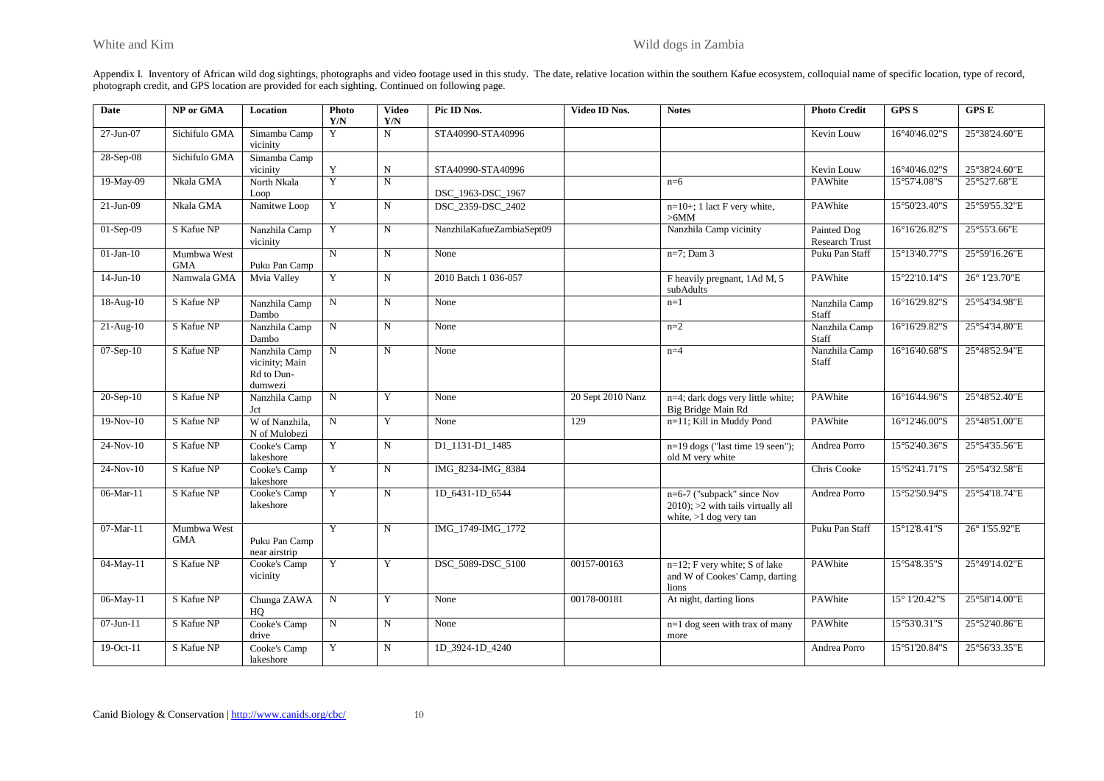Appendix I. Inventory of African wild dog sightings, photographs and video footage used in this study. The date, relative location within the southern Kafue ecosystem, colloquial name of specific location, type of record, photograph credit, and GPS location are provided for each sighting. Continued on following page.

| <b>Date</b>     | NP or GMA                 | Location                                                 | Photo<br>Y/N   | <b>Video</b><br>Y/N | Pic ID Nos.               | Video ID Nos.     | <b>Notes</b>                                                                                     | <b>Photo Credit</b>           | <b>GPS S</b>            | GPSE          |
|-----------------|---------------------------|----------------------------------------------------------|----------------|---------------------|---------------------------|-------------------|--------------------------------------------------------------------------------------------------|-------------------------------|-------------------------|---------------|
| 27-Jun-07       | Sichifulo GMA             | Simamba Camp<br>vicinity                                 | Y              | N                   | STA40990-STA40996         |                   |                                                                                                  | Kevin Louw                    | 16°40'46.02"S           | 25°38'24.60"E |
| 28-Sep-08       | Sichifulo GMA             | Simamba Camp<br>vicinity                                 | Y              | $_{\rm N}$          | STA40990-STA40996         |                   |                                                                                                  | Kevin Louw                    | 16°40'46.02"S           | 25°38'24.60"E |
| 19-May-09       | Nkala GMA                 | North Nkala<br>Loop                                      | Y              | $\overline{N}$      | DSC_1963-DSC_1967         |                   | $n=6$                                                                                            | PAWhite                       | 15°57'4.08"S            | 25°52'7.68"E  |
| $21-Jun-09$     | Nkala GMA                 | Namitwe Loop                                             | Y              | $\mathbf N$         | DSC 2359-DSC 2402         |                   | $n=10+$ ; 1 lact F very white,<br>>6MM                                                           | PAWhite                       | 15°50'23.40"S           | 25°59'55.32"E |
| 01-Sep-09       | S Kafue NP                | Nanzhila Camp<br>vicinity                                | Y              | $\mathbf N$         | NanzhilaKafueZambiaSept09 |                   | Nanzhila Camp vicinity                                                                           | Painted Dog<br>Research Trust | 16°16'26.82"S           | 25°55'3.66"E  |
| $01-Jan-10$     | Mumbwa West<br><b>GMA</b> | Puku Pan Camp                                            | $\overline{N}$ | $\mathbf N$         | None                      |                   | $n=7$ ; Dam 3                                                                                    | Puku Pan Staff                | 15°13'40.77"S           | 25°59'16.26"E |
| $14$ -Jun- $10$ | Namwala GMA               | Mvia Valley                                              | Y              | $\mathbf N$         | 2010 Batch 1 036-057      |                   | F heavily pregnant, 1Ad M, 5<br>subAdults                                                        | PAWhite                       | 15°22'10.14"S           | 26° 1'23.70"E |
| $18-Aug-10$     | S Kafue NP                | Nanzhila Camp<br>Dambo                                   | N              | ${\bf N}$           | None                      |                   | $n=1$                                                                                            | Nanzhila Camp<br>Staff        | 16°16'29.82"S           | 25°54'34.98"E |
| $21-Aug-10$     | S Kafue NP                | Nanzhila Camp<br>Dambo                                   | $_{\rm N}$     | $\mathbf N$         | None                      |                   | $n=2$                                                                                            | Nanzhila Camp<br>Staff        | 16°16'29.82"S           | 25°54'34.80"E |
| 07-Sep-10       | S Kafue NP                | Nanzhila Camp<br>vicinity; Main<br>Rd to Dun-<br>dumwezi | $_{\rm N}$     | $\mathbf N$         | None                      |                   | $n=4$                                                                                            | Nanzhila Camp<br>Staff        | 16°16'40.68"S           | 25°48'52.94"E |
| $20-Sep-10$     | S Kafue NP                | Nanzhila Camp<br>Jct                                     | $\mathbf N$    | Y                   | None                      | 20 Sept 2010 Nanz | n=4; dark dogs very little white;<br>Big Bridge Main Rd                                          | PAWhite                       | 16°16'44.96"S           | 25°48'52.40"E |
| $19-Nov-10$     | S Kafue NP                | W of Nanzhila.<br>N of Mulobezi                          | N              | Y                   | None                      | 129               | n=11; Kill in Muddy Pond                                                                         | PAWhite                       | $16^{\circ}12'46.00$ "S | 25°48'51.00"E |
| $24-Nov-10$     | S Kafue NP                | Cooke's Camp<br>lakeshore                                | Y              | $\mathbf N$         | D1 1131-D1 1485           |                   | n=19 dogs ("last time 19 seen");<br>old M very white                                             | Andrea Porro                  | 15°52'40.36"S           | 25°54'35.56"E |
| $24-Nov-10$     | S Kafue NP                | Cooke's Camp<br>lakeshore                                | Y              | $\overline{N}$      | IMG 8234-IMG 8384         |                   |                                                                                                  | Chris Cooke                   | 15°52'41.71"S           | 25°54'32.58"E |
| 06-Mar-11       | S Kafue NP                | Cooke's Camp<br>lakeshore                                | Y              | N                   | 1D 6431-1D 6544           |                   | n=6-7 ("subpack" since Nov<br>$2010$ ; $>2$ with tails virtually all<br>white, $>1$ dog very tan | Andrea Porro                  | 15°52'50.94"S           | 25°54'18.74"E |
| 07-Mar-11       | Mumbwa West<br><b>GMA</b> | Puku Pan Camp<br>near airstrip                           | Y              | $\overline{N}$      | IMG 1749-IMG 1772         |                   |                                                                                                  | Puku Pan Staff                | 15°12'8.41"S            | 26° 1'55.92"E |
| 04-May-11       | S Kafue NP                | Cooke's Camp<br>vicinity                                 | Y              | Y                   | DSC 5089-DSC 5100         | 00157-00163       | $n=12$ ; F very white; S of lake<br>and W of Cookes' Camp, darting<br>lions                      | PAWhite                       | 15°54'8.35"S            | 25°49'14.02"E |
| 06-May-11       | S Kafue NP                | Chunga ZAWA<br>HO                                        | N              | Y                   | None                      | 00178-00181       | At night, darting lions                                                                          | PAWhite                       | 15° 1'20.42"S           | 25°58'14.00"E |
| 07-Jun-11       | S Kafue NP                | Cooke's Camp<br>drive                                    | $\mathbf N$    | $\mathbf N$         | None                      |                   | n=1 dog seen with trax of many<br>more                                                           | PAWhite                       | 15°53'0.31"S            | 25°52'40.86"E |
| 19-Oct-11       | S Kafue NP                | Cooke's Camp<br>lakeshore                                | Y              | $\mathbf N$         | 1D 3924-1D 4240           |                   |                                                                                                  | Andrea Porro                  | 15°51'20.84"S           | 25°56'33.35"E |